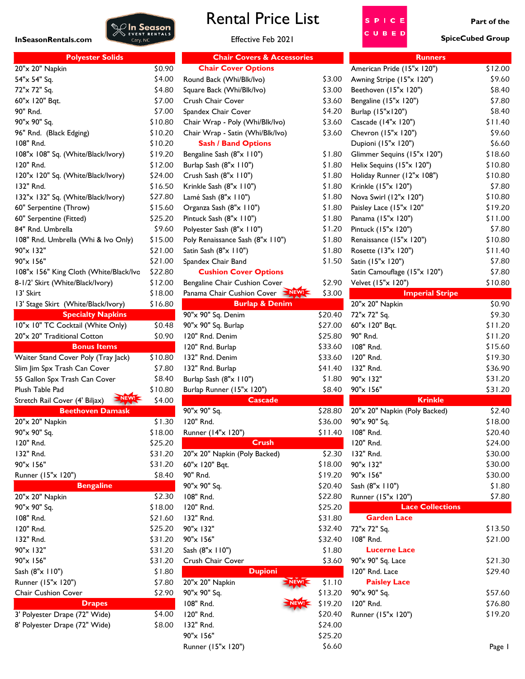

## Rental Price List

## Effective Feb 2021



**Part of the**

| <b>Polyester Solids</b>                |         | <b>Chair Covers &amp; Accessories</b> |         | <b>Runners</b>                |         |
|----------------------------------------|---------|---------------------------------------|---------|-------------------------------|---------|
| 20"x 20" Napkin                        | \$0.90  | <b>Chair Cover Options</b>            |         | American Pride (15"x 120")    | \$12.00 |
| 54"x 54" Sq.                           | \$4.00  | Round Back (Whi/Blk/Ivo)              | \$3.00  | Awning Stripe (15"x 120")     | \$9.60  |
| 72"x 72" Sq.                           | \$4.80  | Square Back (Whi/Blk/Ivo)             | \$3.00  | Beethoven (15"x 120")         | \$8.40  |
| 60"x 120" Bqt.                         | \$7.00  | Crush Chair Cover                     | \$3.60  | Bengaline (15"x 120")         | \$7.80  |
| 90" Rnd.                               | \$7.00  | Spandex Chair Cover                   | \$4.20  | Burlap (15"x120")             | \$8.40  |
| 90"x 90" Sq.                           | \$10.80 | Chair Wrap - Poly (Whi/Blk/Ivo)       | \$3.60  | Cascade (14"x 120")           | \$11.40 |
| 96" Rnd. (Black Edging)                | \$10.20 | Chair Wrap - Satin (Whi/Blk/Ivo)      | \$3.60  | Chevron (15"x 120")           | \$9.60  |
| 108" Rnd.                              | \$10.20 | <b>Sash / Band Options</b>            |         | Dupioni (15"x 120")           | \$6.60  |
| 108"x 108" Sq. (White/Black/Ivory)     | \$19.20 | Bengaline Sash (8"x 110")             | \$1.80  | Glimmer Sequins (15"x 120")   | \$18.60 |
| 120" Rnd.                              | \$12.00 | Burlap Sash (8"x 110")                | \$1.80  | Helix Sequins (15"x 120")     | \$10.80 |
| 120"x 120" Sq. (White/Black/Ivory)     | \$24.00 | Crush Sash (8"x 110")                 | \$1.80  | Holiday Runner (12"x 108")    | \$10.80 |
| 132" Rnd.                              | \$16.50 | Krinkle Sash (8"x 110")               | \$1.80  | Krinkle (15"x 120")           | \$7.80  |
| 132"x 132" Sq. (White/Black/Ivory)     | \$27.80 | Lamé Sash (8"x 110")                  | \$1.80  | Nova Swirl (12"x 120")        | \$10.80 |
| 60" Serpentine (Throw)                 | \$15.60 | Organza Sash (8"x 110")               | \$1.80  | Paisley Lace (15"x 120"       | \$19.20 |
| 60" Serpentine (Fitted)                | \$25.20 | Pintuck Sash (8"x 110")               | \$1.80  | Panama (15"x 120")            | \$11.00 |
| 84" Rnd. Umbrella                      | \$9.60  | Polyester Sash (8"x 110")             | \$1.20  | Pintuck (15"x 120")           | \$7.80  |
| 108" Rnd. Umbrella (Whi & Ivo Only)    | \$15.00 | Poly Renaissance Sash (8"x 110")      | \$1.80  | Renaissance (15"x 120")       | \$10.80 |
| 90"x 132"                              | \$21.00 | Satin Sash (8"x 110")                 | \$1.80  | Rosette (13"x 120")           | \$11.40 |
| 90"x 156"                              | \$21.00 | Spandex Chair Band                    | \$1.50  | Satin (15"x 120")             | \$7.80  |
| 108"x 156" King Cloth (White/Black/Ivc | \$22.80 | <b>Cushion Cover Options</b>          |         | Satin Camouflage (15"x 120")  | \$7.80  |
| 8-1/2' Skirt (White/Black/Ivory)       | \$12.00 | Bengaline Chair Cushion Cover         | \$2.90  | Velvet (15"x 120")            | \$10.80 |
| 13' Skirt                              | \$18.00 | Panama Chair Cushion Cover            | \$3.00  | <b>Imperial Stripe</b>        |         |
| 13' Stage Skirt (White/Black/Ivory)    | \$16.80 | <b>Burlap &amp; Denim</b>             |         | 20"x 20" Napkin               | \$0.90  |
| <b>Specialty Napkins</b>               |         | 90"x 90" Sq. Denim                    | \$20.40 | 72"x 72" Sq.                  | \$9.30  |
| 10"x 10" TC Cocktail (White Only)      | \$0.48  | 90"x 90" Sq. Burlap                   | \$27.00 | 60"x 120" Bqt.                | \$11.20 |
| 20"x 20" Traditional Cotton            | \$0.90  | 120" Rnd. Denim                       | \$25.80 | 90" Rnd.                      | \$11.20 |
| <b>Bonus Items</b>                     |         | 120" Rnd. Burlap                      | \$33.60 | 108" Rnd.                     | \$15.60 |
| Waiter Stand Cover Poly (Tray Jack)    | \$10.80 | 132" Rnd. Denim                       | \$33.60 | 120" Rnd.                     | \$19.30 |
| Slim Jim Spx Trash Can Cover           | \$7.80  | 132" Rnd. Burlap                      | \$41.40 | 132" Rnd.                     | \$36.90 |
| 55 Gallon Spx Trash Can Cover          | \$8.40  | Burlap Sash (8"x 110")                | \$1.80  | 90"x 132"                     | \$31.20 |
| Plush Table Pad                        | \$10.80 | Burlap Runner (15"x 120")             | \$8.40  | 90"x 156"                     | \$31.20 |
| NEW!<br>Stretch Rail Cover (4' Biljax) | \$4.00  | <b>Cascade</b>                        |         | <b>Krinkle</b>                |         |
| <b>Beethoven Damask</b>                |         | 90"x 90" Sq.                          | \$28.80 | 20"x 20" Napkin (Poly Backed) | \$2.40  |
| 20"x 20" Napkin                        | \$1.30  | 120" Rnd.                             | \$36.00 | 90"x 90" Sq.                  | \$18.00 |
| 90"x 90" Sq.                           | \$18.00 | Runner (14"x 120")                    | \$11.40 | 108" Rnd.                     | \$20.40 |
| 120" Rnd.                              | \$25.20 | <b>Crush</b>                          |         | 120" Rnd.                     | \$24.00 |
| 132" Rnd.                              | \$31.20 | 20"x 20" Napkin (Poly Backed)         | \$2.30  | 132" Rnd.                     | \$30.00 |
|                                        |         |                                       |         | 90"x 132"                     |         |
| 90"x 156"                              | \$31.20 | 60"x 120" Bqt.                        | \$18.00 |                               | \$30.00 |
| Runner (15"x 120")                     | \$8.40  | 90" Rnd.                              | \$19.20 | 90"x 156"                     | \$30.00 |
| <b>Bengaline</b>                       |         | 90"x 90" Sq.                          | \$20.40 | Sash (8"x 110")               | \$1.80  |
| 20"x 20" Napkin                        | \$2.30  | 108" Rnd.                             | \$22.80 | Runner (15"x 120")            | \$7.80  |
| 90"x 90" Sq.                           | \$18.00 | 120" Rnd.                             | \$25.20 | <b>Lace Collections</b>       |         |
| 108" Rnd.                              | \$21.60 | 132" Rnd.                             | \$31.80 | <b>Garden Lace</b>            |         |
| 120" Rnd.                              | \$25.20 | 90"x 132"                             | \$32.40 | 72"x 72" Sq.                  | \$13.50 |
| 132" Rnd.                              | \$31.20 | 90"x 156"                             | \$32.40 | 108" Rnd.                     | \$21.00 |
| 90"x 132"                              | \$31.20 | Sash (8"x 110")                       | \$1.80  | <b>Lucerne Lace</b>           |         |
| 90"x 156"                              | \$31.20 | Crush Chair Cover                     | \$3.60  | 90"x 90" Sq. Lace             | \$21.30 |
| Sash (8"x 110")                        | \$1.80  | <b>Dupioni</b>                        |         | 120" Rnd. Lace                | \$29.40 |
| Runner (15"x 120")                     | \$7.80  | NEW! <<br>20"x 20" Napkin             | \$1.10  | <b>Paisley Lace</b>           |         |
| Chair Cushion Cover                    | \$2.90  | 90"x 90" Sq.                          | \$13.20 | 90"x 90" Sq.                  | \$57.60 |
| <b>Drapes</b>                          |         | 108" Rnd.<br>$NEW! \leq$              | \$19.20 | 120" Rnd.                     | \$76.80 |
| 3' Polyester Drape (72" Wide)          | \$4.00  | 120" Rnd.                             | \$20.40 | Runner (15"x 120")            | \$19.20 |
| 8' Polyester Drape (72" Wide)          | \$8.00  | 132" Rnd.                             | \$24.00 |                               |         |
|                                        |         | 90"x 156"                             | \$25.20 |                               |         |
|                                        |         |                                       |         |                               |         |

| <b>Chair Covers &amp; Accessories</b> |         | <b>Runners</b>                |         |
|---------------------------------------|---------|-------------------------------|---------|
| <b>Chair Cover Options</b>            |         | American Pride (15"x 120")    | \$12.00 |
| Round Back (Whi/Blk/Ivo)              | \$3.00  | Awning Stripe (15"x 120")     | \$9.60  |
| Square Back (Whi/Blk/Ivo)             | \$3.00  | Beethoven (15"x 120")         | \$8.40  |
| Crush Chair Cover                     | \$3.60  | Bengaline (15"x 120")         | \$7.80  |
| Spandex Chair Cover                   | \$4.20  | Burlap (15"x120")             | \$8.40  |
| Chair Wrap - Poly (Whi/Blk/Ivo)       | \$3.60  | Cascade (14"x 120")           | \$11.40 |
| Chair Wrap - Satin (Whi/Blk/Ivo)      | \$3.60  | Chevron (15"x 120")           | \$9.60  |
| <b>Sash / Band Options</b>            |         | Dupioni (15"x 120")           | \$6.60  |
| Bengaline Sash (8"x 110")             | \$1.80  | Glimmer Sequins (15"x 120")   | \$18.60 |
| Burlap Sash (8"x 110")                | \$1.80  | Helix Sequins (15"x 120")     | \$10.80 |
| Crush Sash (8"x 110")                 | \$1.80  | Holiday Runner (12"x 108")    | \$10.80 |
| Krinkle Sash (8"x 110")               | \$1.80  | Krinkle (15"x 120")           | \$7.80  |
| Lamé Sash (8"x 110")                  | \$1.80  | Nova Swirl (12"x 120")        | \$10.80 |
| Organza Sash (8"x 110")               | \$1.80  | Paisley Lace (15"x 120"       | \$19.20 |
| Pintuck Sash (8"x 110")               | \$1.80  | Panama (15"x 120")            | \$11.00 |
| Polyester Sash (8"x 110")             | \$1.20  | Pintuck (15"x 120")           | \$7.80  |
| Poly Renaissance Sash (8"x 110")      | \$1.80  | Renaissance (15"x 120")       | \$10.80 |
| Satin Sash (8"x 110")                 | \$1.80  | Rosette (13"x 120")           | \$11.40 |
| Spandex Chair Band                    | \$1.50  | Satin (15"x 120")             | \$7.80  |
| <b>Cushion Cover Options</b>          |         | Satin Camouflage (15"x 120")  | \$7.80  |
| Bengaline Chair Cushion Cover         | \$2.90  | Velvet (15"x 120")            | \$10.80 |
| Panama Chair Cushion Cover            | \$3.00  | <b>Imperial Stripe</b>        |         |
| <b>Burlap &amp; Denim</b>             |         | 20"x 20" Napkin               | \$0.90  |
| 90"x 90" Sq. Denim                    | \$20.40 | 72"x 72" Sq.                  | \$9.30  |
| 90"x 90" Sq. Burlap                   | \$27.00 | 60"x 120" Bqt.                | \$11.20 |
| 120" Rnd. Denim                       | \$25.80 | 90" Rnd.                      | \$11.20 |
| 120" Rnd. Burlap                      | \$33.60 | 108" Rnd.                     | \$15.60 |
| 132" Rnd. Denim                       | \$33.60 | 120" Rnd.                     | \$19.30 |
| 132" Rnd. Burlap                      | \$41.40 | 132" Rnd.                     | \$36.90 |
| Burlap Sash (8"x 110")                | \$1.80  | 90"x 132"                     | \$31.20 |
| Burlap Runner (15"x 120")             | \$8.40  | 90"x 156"                     | \$31.20 |
| <b>Cascade</b>                        |         | <b>Krinkle</b>                |         |
| 90"x 90" Sq.                          | \$28.80 | 20"x 20" Napkin (Poly Backed) | \$2.40  |
| 120" Rnd.                             | \$36.00 | 90"x 90" Sq.                  | \$18.00 |
| Runner (14"x 120")                    | \$11.40 | 108" Rnd.                     | \$20.40 |
| <b>Crush</b>                          |         | 120" Rnd.                     | \$24.00 |
| 20"x 20" Napkin (Poly Backed)         | \$2.30  | 132" Rnd.                     | \$30.00 |
| 60"x 120" Bqt.                        | \$18.00 | 90"x 132"                     | \$30.00 |
| 90" Rnd.                              | \$19.20 | 90"x 156"                     | \$30.00 |
| 90"x 90" Sq.                          | \$20.40 | Sash (8"x 110")               | \$1.80  |
| 108" Rnd.                             | \$22.80 | Runner (15"x 120")            | \$7.80  |
| 120" Rnd.                             | \$25.20 | <b>Lace Collections</b>       |         |
| 132" Rnd.                             | \$31.80 | <b>Garden Lace</b>            |         |
| 90"x 132"                             | \$32.40 | 72"x 72" Sq.                  | \$13.50 |
| 90"x 156"                             | \$32.40 | 108" Rnd.                     | \$21.00 |
| Sash (8"x 110")                       | \$1.80  | <b>Lucerne Lace</b>           |         |
| Crush Chair Cover                     | \$3.60  | 90"x 90" Sq. Lace             | \$21.30 |
| <b>Dupioni</b>                        |         | 120" Rnd. Lace                | \$29.40 |
| 20"x 20" Napkin<br>NEW!3              | \$1.10  | <b>Paisley Lace</b>           |         |
| 90"x 90" Sq.                          | \$13.20 | 90"x 90" Sq.                  | \$57.60 |
| 108" Rnd.                             | \$19.20 | 120" Rnd.                     | \$76.80 |
| 120" Rnd.                             | \$20.40 | Runner (15"x 120")            | \$19.20 |
| 132" Rnd.                             | \$24.00 |                               |         |
| 90"x 156"                             | \$25.20 |                               |         |
| Runner (15"x 120")                    | \$6.60  |                               | Page I  |

| <b>Chair Covers &amp; Accessories</b> |         | <b>Runners</b>                |         |  |  |
|---------------------------------------|---------|-------------------------------|---------|--|--|
| <b>Chair Cover Options</b>            |         | American Pride (15"x 120")    | \$12.00 |  |  |
| Round Back (Whi/Blk/Ivo)              | \$3.00  | Awning Stripe (15"x 120")     | \$9.60  |  |  |
| Square Back (Whi/Blk/Ivo)             | \$3.00  | Beethoven (15"x 120")         | \$8.40  |  |  |
| Crush Chair Cover                     | \$3.60  | Bengaline (15"x 120")         | \$7.80  |  |  |
| Spandex Chair Cover                   | \$4.20  | Burlap (15"x120")             | \$8.40  |  |  |
| Chair Wrap - Poly (Whi/Blk/Ivo)       | \$3.60  | Cascade (14"x 120")           | \$11.40 |  |  |
| Chair Wrap - Satin (Whi/Blk/Ivo)      | \$3.60  | Chevron (15"x 120")           | \$9.60  |  |  |
| <b>Sash / Band Options</b>            |         | Dupioni (15"x 120")           | \$6.60  |  |  |
| Bengaline Sash (8"x 110")             | \$1.80  | Glimmer Sequins (15"x 120")   | \$18.60 |  |  |
| Burlap Sash (8"x 110")                | \$1.80  | Helix Sequins (15"x 120")     | \$10.80 |  |  |
| Crush Sash (8"x 110")                 | \$1.80  | Holiday Runner (12"x 108")    | \$10.80 |  |  |
| Krinkle Sash (8"x 110")               | \$1.80  | Krinkle (15"x 120")           | \$7.80  |  |  |
| Lamé Sash (8"x 110")                  | \$1.80  | Nova Swirl (12"x 120")        | \$10.80 |  |  |
| Organza Sash (8"x 110")               | \$1.80  | Paisley Lace (15"x 120"       | \$19.20 |  |  |
| Pintuck Sash (8"x 110")               | \$1.80  | Panama (15"x 120")            | \$11.00 |  |  |
| Polyester Sash (8"x 110")             | \$1.20  | Pintuck (15"x 120")           | \$7.80  |  |  |
| Poly Renaissance Sash (8"x 110")      | \$1.80  | Renaissance (15"x 120")       | \$10.80 |  |  |
| Satin Sash (8"x 110")                 | \$1.80  | Rosette (13"x 120")           | \$11.40 |  |  |
| Spandex Chair Band                    | \$1.50  | Satin (15"x 120")             | \$7.80  |  |  |
| <b>Cushion Cover Options</b>          |         | Satin Camouflage (15"x 120")  | \$7.80  |  |  |
| Bengaline Chair Cushion Cover         | \$2.90  | Velvet (15"x 120")            | \$10.80 |  |  |
| Panama Chair Cushion Cover            | \$3.00  | <b>Imperial Stripe</b>        |         |  |  |
| <b>Burlap &amp; Denim</b>             |         | 20"x 20" Napkin               | \$0.90  |  |  |
| 90"x 90" Sq. Denim                    | \$20.40 | 72"x 72" Sq.                  | \$9.30  |  |  |
| 90"x 90" Sq. Burlap                   | \$27.00 | 60"x 120" Bqt.                | \$11.20 |  |  |
| 120" Rnd. Denim                       | \$25.80 | 90" Rnd.                      | \$11.20 |  |  |
| 120" Rnd. Burlap                      | \$33.60 | 108" Rnd.                     | \$15.60 |  |  |
| 132" Rnd. Denim                       | \$33.60 | 120" Rnd.                     | \$19.30 |  |  |
| 132" Rnd. Burlap                      | \$41.40 | 132" Rnd.                     | \$36.90 |  |  |
| Burlap Sash (8"x 110")                | \$1.80  | 90"x 132"                     | \$31.20 |  |  |
| Burlap Runner (15"x 120")             | \$8.40  | 90"x 156"                     | \$31.20 |  |  |
| <b>Cascade</b>                        |         | <b>Krinkle</b>                |         |  |  |
| 90"x 90" Sq.                          | \$28.80 | 20"x 20" Napkin (Poly Backed) | \$2.40  |  |  |
| 120" Rnd.                             | \$36.00 | 90"x 90" Sq.                  | \$18.00 |  |  |
| Runner (14"x 120")                    | \$11.40 | 108" Rnd.                     | \$20.40 |  |  |
| <b>Crush</b>                          |         | 120" Rnd.                     | \$24.00 |  |  |
| 20"x 20" Napkin (Poly Backed)         | \$2.30  | 132" Rnd.                     | \$30.00 |  |  |
| 60"x 120" Bqt.                        | \$18.00 | 90"x 132"                     | \$30.00 |  |  |
| 90" Rnd.                              | \$19.20 | 90"x 156"                     | \$30.00 |  |  |
| 90"x 90" Sq.                          | \$20.40 | Sash (8"x 110")               | \$1.80  |  |  |
| 108" Rnd.                             | \$22.80 | Runner (15"x 120")            | \$7.80  |  |  |
| 120" Rnd.                             | \$25.20 | <b>Lace Collections</b>       |         |  |  |
| 132" Rnd.                             | \$31.80 | <b>Garden Lace</b>            |         |  |  |
| 90"x 132"                             | \$32.40 | 72"x 72" Sq.                  | \$13.50 |  |  |
| 90"x 156"                             | \$32.40 | 108" Rnd.                     | \$21.00 |  |  |
| Sash (8"x 110")                       | \$1.80  | <b>Lucerne Lace</b>           |         |  |  |
| Crush Chair Cover                     | \$3.60  | 90"x 90" Sq. Lace             | \$21.30 |  |  |
| <b>Dupioni</b>                        |         | 120" Rnd. Lace                | \$29.40 |  |  |
| 20"x 20" Napkin                       | \$1.10  | <b>Paisley Lace</b>           |         |  |  |
| 90"x 90" Sq.                          | \$13.20 | 90"x 90" Sq.                  | \$57.60 |  |  |
| 108" Rnd.                             | \$19.20 | 120" Rnd.                     | \$76.80 |  |  |
| 120" Rnd.                             | \$20.40 | Runner (15"x 120")            | \$19.20 |  |  |
| 132" Rnd.                             | \$24.00 |                               |         |  |  |
| 90"x 156"                             | \$25.20 |                               |         |  |  |